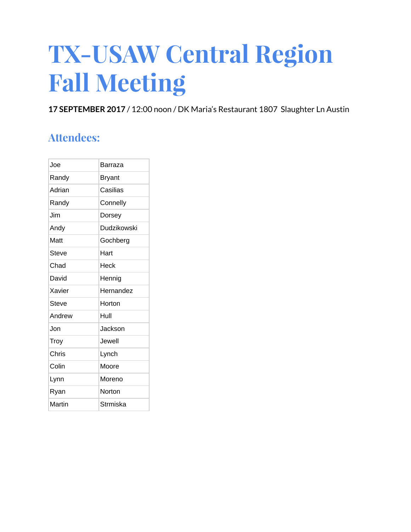# **TX-USAW Central Region Fall Meeting**

**17 SEPTEMBER 2017** / 12:00 noon / DK Maria's Restaurant 1807 Slaughter Ln Austin

# **Attendees:**

| Joe    | Barraza     |
|--------|-------------|
| Randy  | Bryant      |
| Adrian | Casilias    |
| Randy  | Connelly    |
| .Jim   | Dorsey      |
| Andy   | Dudzikowski |
| Matt   | Gochberg    |
| Steve  | Hart        |
| Chad   | Heck        |
| David  | Hennig      |
| Xavier | Hernandez   |
| Steve  | Horton      |
| Andrew | Hull        |
| .Jon   | Jackson     |
| Troy   | Jewell      |
| Chris  | Lynch       |
| Colin  | Moore       |
| Lynn   | Moreno      |
| Ryan   | Norton      |
| Martin | Strmiska    |